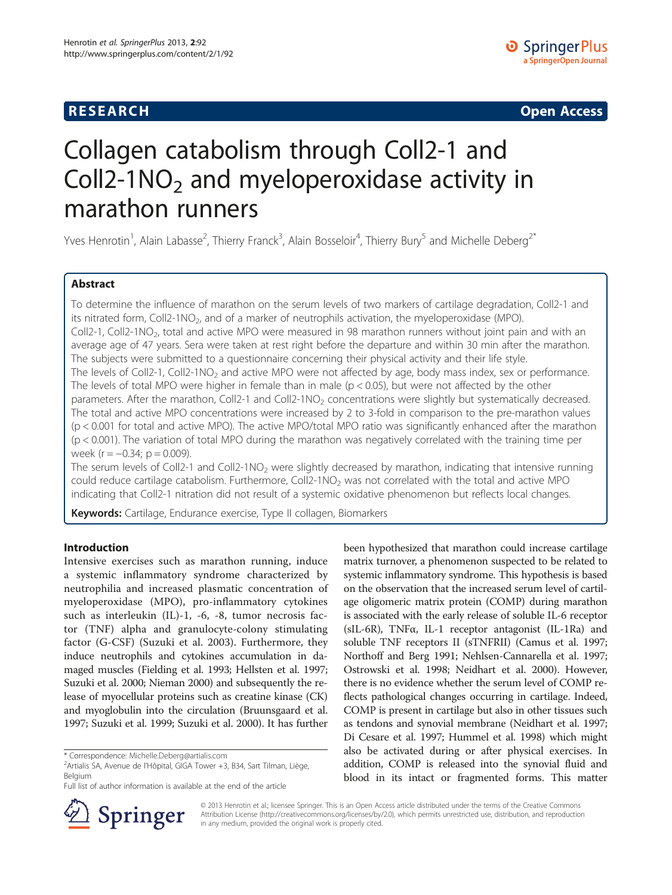# **RESEARCH CHE Open Access**

# Collagen catabolism through Coll2-1 and Coll2-1NO<sub>2</sub> and myeloperoxidase activity in marathon runners

Yves Henrotin<sup>1</sup>, Alain Labasse<sup>2</sup>, Thierry Franck<sup>3</sup>, Alain Bosseloir<sup>4</sup>, Thierry Bury<sup>5</sup> and Michelle Deberg<sup>2\*</sup>

# Abstract

To determine the influence of marathon on the serum levels of two markers of cartilage degradation, Coll2-1 and its nitrated form, Coll2-1NO<sub>2</sub>, and of a marker of neutrophils activation, the myeloperoxidase (MPO). Coll2-1, Coll2-1NO<sub>2</sub>, total and active MPO were measured in 98 marathon runners without joint pain and with an average age of 47 years. Sera were taken at rest right before the departure and within 30 min after the marathon. The subjects were submitted to a questionnaire concerning their physical activity and their life style. The levels of Coll2-1, Coll2-1NO<sub>2</sub> and active MPO were not affected by age, body mass index, sex or performance. The levels of total MPO were higher in female than in male ( $p < 0.05$ ), but were not affected by the other parameters. After the marathon, Coll2-1 and Coll2-1NO<sub>2</sub> concentrations were slightly but systematically decreased. The total and active MPO concentrations were increased by 2 to 3-fold in comparison to the pre-marathon values (p < 0.001 for total and active MPO). The active MPO/total MPO ratio was significantly enhanced after the marathon (p < 0.001). The variation of total MPO during the marathon was negatively correlated with the training time per week ( $r = -0.34$ ;  $p = 0.009$ ).

The serum levels of Coll2-1 and Coll2-1NO<sub>2</sub> were slightly decreased by marathon, indicating that intensive running could reduce cartilage catabolism. Furthermore, Coll2-1NO<sub>2</sub> was not correlated with the total and active MPO indicating that Coll2-1 nitration did not result of a systemic oxidative phenomenon but reflects local changes.

Keywords: Cartilage, Endurance exercise, Type II collagen, Biomarkers

# Introduction

Intensive exercises such as marathon running, induce a systemic inflammatory syndrome characterized by neutrophilia and increased plasmatic concentration of myeloperoxidase (MPO), pro-inflammatory cytokines such as interleukin (IL)-1, -6, -8, tumor necrosis factor (TNF) alpha and granulocyte-colony stimulating factor (G-CSF) (Suzuki et al. [2003](#page-6-0)). Furthermore, they induce neutrophils and cytokines accumulation in damaged muscles (Fielding et al. [1993](#page-6-0); Hellsten et al. [1997](#page-6-0); Suzuki et al. [2000](#page-6-0); Nieman [2000\)](#page-6-0) and subsequently the release of myocellular proteins such as creatine kinase (CK) and myoglobulin into the circulation (Bruunsgaard et al. [1997;](#page-5-0) Suzuki et al. [1999](#page-6-0); Suzuki et al. [2000\)](#page-6-0). It has further

been hypothesized that marathon could increase cartilage matrix turnover, a phenomenon suspected to be related to systemic inflammatory syndrome. This hypothesis is based on the observation that the increased serum level of cartilage oligomeric matrix protein (COMP) during marathon is associated with the early release of soluble IL-6 receptor (sIL-6R), TNFα, IL-1 receptor antagonist (IL-1Ra) and soluble TNF receptors II (sTNFRII) (Camus et al. [1997](#page-5-0); Northoff and Berg [1991;](#page-6-0) Nehlsen-Cannarella et al. [1997](#page-6-0); Ostrowski et al. [1998;](#page-6-0) Neidhart et al. [2000\)](#page-6-0). However, there is no evidence whether the serum level of COMP reflects pathological changes occurring in cartilage. Indeed, COMP is present in cartilage but also in other tissues such as tendons and synovial membrane (Neidhart et al. [1997](#page-6-0); Di Cesare et al. [1997;](#page-6-0) Hummel et al. [1998](#page-6-0)) which might also be activated during or after physical exercises. In addition, COMP is released into the synovial fluid and blood in its intact or fragmented forms. This matter



© 2013 Henrotin et al.; licensee Springer. This is an Open Access article distributed under the terms of the Creative Commons Attribution License [\(http://creativecommons.org/licenses/by/2.0\)](http://creativecommons.org/licenses/by/2.0), which permits unrestricted use, distribution, and reproduction in any medium, provided the original work is properly cited.

<sup>\*</sup> Correspondence: [Michelle.Deberg@artialis.com](mailto:Michelle.Deberg@artialis.com) <sup>2</sup>

 $2$ Artialis SA, Avenue de l'Hôpital, GIGA Tower +3, B34, Sart Tilman, Liège, Belgium

Full list of author information is available at the end of the article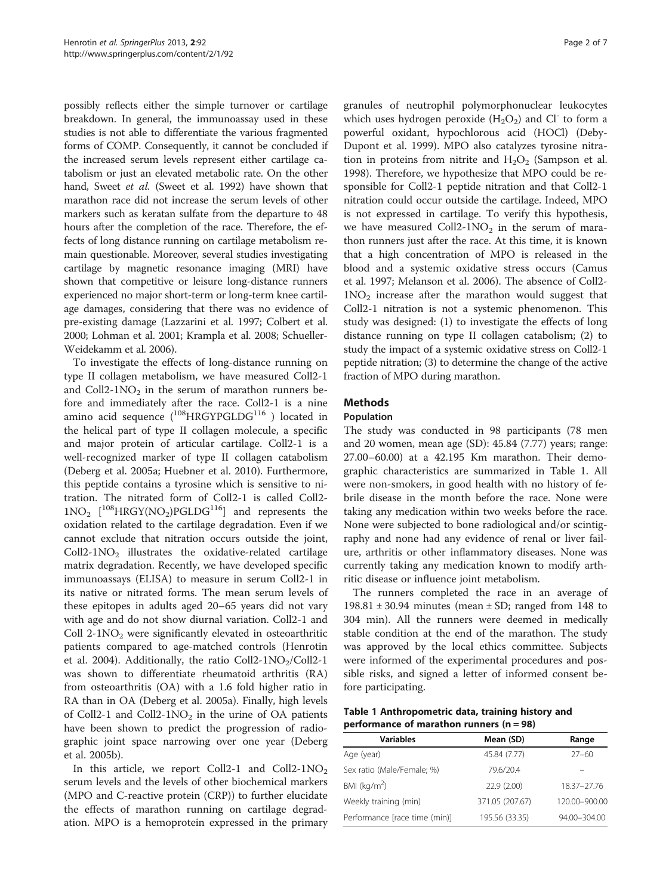possibly reflects either the simple turnover or cartilage breakdown. In general, the immunoassay used in these studies is not able to differentiate the various fragmented forms of COMP. Consequently, it cannot be concluded if the increased serum levels represent either cartilage catabolism or just an elevated metabolic rate. On the other hand, Sweet et al. (Sweet et al. [1992\)](#page-6-0) have shown that marathon race did not increase the serum levels of other markers such as keratan sulfate from the departure to 48 hours after the completion of the race. Therefore, the effects of long distance running on cartilage metabolism remain questionable. Moreover, several studies investigating cartilage by magnetic resonance imaging (MRI) have shown that competitive or leisure long-distance runners experienced no major short-term or long-term knee cartilage damages, considering that there was no evidence of pre-existing damage (Lazzarini et al. [1997](#page-6-0); Colbert et al. [2000;](#page-5-0) Lohman et al. [2001;](#page-6-0) Krampla et al. [2008;](#page-6-0) Schueller-Weidekamm et al. [2006](#page-6-0)).

To investigate the effects of long-distance running on type II collagen metabolism, we have measured Coll2-1 and Coll2-1NO<sub>2</sub> in the serum of marathon runners before and immediately after the race. Coll2-1 is a nine amino acid sequence  $(^{108}HRGYPGLDG^{116}$  ) located in the helical part of type II collagen molecule, a specific and major protein of articular cartilage. Coll2-1 is a well-recognized marker of type II collagen catabolism (Deberg et al. [2005a;](#page-5-0) Huebner et al. [2010\)](#page-6-0). Furthermore, this peptide contains a tyrosine which is sensitive to nitration. The nitrated form of Coll2-1 is called Coll2-  $1NO<sub>2</sub>$  [<sup>108</sup>HRGY(NO<sub>2</sub>)PGLDG<sup>116</sup>] and represents the oxidation related to the cartilage degradation. Even if we cannot exclude that nitration occurs outside the joint,  $Coll2-1NO<sub>2</sub>$  illustrates the oxidative-related cartilage matrix degradation. Recently, we have developed specific immunoassays (ELISA) to measure in serum Coll2-1 in its native or nitrated forms. The mean serum levels of these epitopes in adults aged 20–65 years did not vary with age and do not show diurnal variation. Coll2-1 and Coll  $2-1NO<sub>2</sub>$  were significantly elevated in osteoarthritic patients compared to age-matched controls (Henrotin et al. [2004](#page-6-0)). Additionally, the ratio Coll2-1NO<sub>2</sub>/Coll2-1 was shown to differentiate rheumatoid arthritis (RA) from osteoarthritis (OA) with a 1.6 fold higher ratio in RA than in OA (Deberg et al. [2005a](#page-5-0)). Finally, high levels of Coll2-1 and Coll2-1NO<sub>2</sub> in the urine of OA patients have been shown to predict the progression of radiographic joint space narrowing over one year (Deberg et al. [2005b\)](#page-6-0).

In this article, we report Coll2-1 and Coll2-1NO<sub>2</sub> serum levels and the levels of other biochemical markers (MPO and C-reactive protein (CRP)) to further elucidate the effects of marathon running on cartilage degradation. MPO is a hemoprotein expressed in the primary

granules of neutrophil polymorphonuclear leukocytes which uses hydrogen peroxide  $(H_2O_2)$  and Cl<sup>-</sup> to form a powerful oxidant, hypochlorous acid (HOCl) (Deby-Dupont et al. [1999](#page-6-0)). MPO also catalyzes tyrosine nitration in proteins from nitrite and  $H_2O_2$  (Sampson et al. [1998](#page-6-0)). Therefore, we hypothesize that MPO could be responsible for Coll2-1 peptide nitration and that Coll2-1 nitration could occur outside the cartilage. Indeed, MPO is not expressed in cartilage. To verify this hypothesis, we have measured Coll2-1NO<sub>2</sub> in the serum of marathon runners just after the race. At this time, it is known that a high concentration of MPO is released in the blood and a systemic oxidative stress occurs (Camus et al. [1997](#page-5-0); Melanson et al. [2006\)](#page-6-0). The absence of Coll2-  $1NO<sub>2</sub>$  increase after the marathon would suggest that Coll2-1 nitration is not a systemic phenomenon. This study was designed: (1) to investigate the effects of long distance running on type II collagen catabolism; (2) to study the impact of a systemic oxidative stress on Coll2-1 peptide nitration; (3) to determine the change of the active fraction of MPO during marathon.

# **Methods**

#### Population

The study was conducted in 98 participants (78 men and 20 women, mean age (SD): 45.84 (7.77) years; range: 27.00–60.00) at a 42.195 Km marathon. Their demographic characteristics are summarized in Table 1. All were non-smokers, in good health with no history of febrile disease in the month before the race. None were taking any medication within two weeks before the race. None were subjected to bone radiological and/or scintigraphy and none had any evidence of renal or liver failure, arthritis or other inflammatory diseases. None was currently taking any medication known to modify arthritic disease or influence joint metabolism.

The runners completed the race in an average of 198.81  $\pm$  30.94 minutes (mean  $\pm$  SD; ranged from 148 to 304 min). All the runners were deemed in medically stable condition at the end of the marathon. The study was approved by the local ethics committee. Subjects were informed of the experimental procedures and possible risks, and signed a letter of informed consent before participating.

Table 1 Anthropometric data, training history and performance of marathon runners (n = 98)

| <b>Variables</b>              | Mean (SD)       | Range         |
|-------------------------------|-----------------|---------------|
| Age (year)                    | 45.84 (7.77)    | 27–60         |
| Sex ratio (Male/Female; %)    | 79.6/20.4       |               |
| BMI ( $kg/m2$ )               | 22.9 (2.00)     | 18.37-27.76   |
| Weekly training (min)         | 371.05 (207.67) | 120.00-900.00 |
| Performance [race time (min)] | 195.56 (33.35)  | 94.00-304.00  |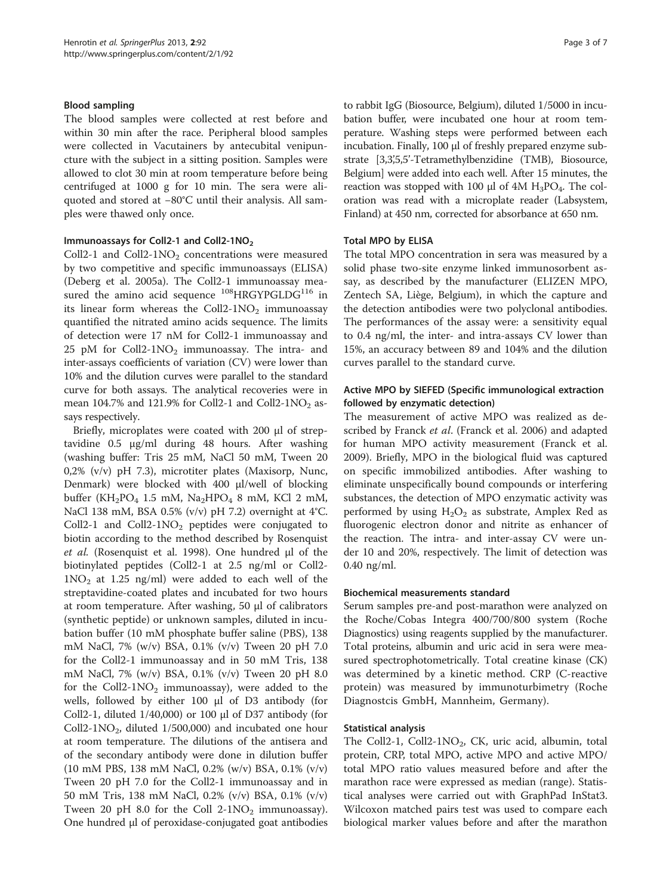#### Blood sampling

The blood samples were collected at rest before and within 30 min after the race. Peripheral blood samples were collected in Vacutainers by antecubital venipuncture with the subject in a sitting position. Samples were allowed to clot 30 min at room temperature before being centrifuged at 1000 g for 10 min. The sera were aliquoted and stored at −80°C until their analysis. All samples were thawed only once.

#### Immunoassays for Coll2-1 and Coll2-1NO<sub>2</sub>

Coll2-1 and Coll2-1NO<sub>2</sub> concentrations were measured by two competitive and specific immunoassays (ELISA) (Deberg et al. [2005a\)](#page-5-0). The Coll2-1 immunoassay measured the amino acid sequence  $^{108}$ HRGYPGLDG<sup>116</sup> in its linear form whereas the Coll2-1NO<sub>2</sub> immunoassay quantified the nitrated amino acids sequence. The limits of detection were 17 nM for Coll2-1 immunoassay and 25 pM for Coll2-1NO<sub>2</sub> immunoassay. The intra- and inter-assays coefficients of variation (CV) were lower than 10% and the dilution curves were parallel to the standard curve for both assays. The analytical recoveries were in mean 104.7% and 121.9% for Coll2-1 and Coll2-1NO<sub>2</sub> assays respectively.

Briefly, microplates were coated with 200 μl of streptavidine 0.5 μg/ml during 48 hours. After washing (washing buffer: Tris 25 mM, NaCl 50 mM, Tween 20 0,2% (v/v) pH 7.3), microtiter plates (Maxisorp, Nunc, Denmark) were blocked with 400 μl/well of blocking buffer (KH<sub>2</sub>PO<sub>4</sub> 1.5 mM, Na<sub>2</sub>HPO<sub>4</sub> 8 mM, KCl 2 mM, NaCl 138 mM, BSA 0.5% (v/v) pH 7.2) overnight at 4°C. Coll2-1 and Coll2-1NO<sub>2</sub> peptides were conjugated to biotin according to the method described by Rosenquist et al. (Rosenquist et al. [1998](#page-6-0)). One hundred μl of the biotinylated peptides (Coll2-1 at 2.5 ng/ml or Coll2-  $1NO<sub>2</sub>$  at 1.25 ng/ml) were added to each well of the streptavidine-coated plates and incubated for two hours at room temperature. After washing, 50 μl of calibrators (synthetic peptide) or unknown samples, diluted in incubation buffer (10 mM phosphate buffer saline (PBS), 138 mM NaCl, 7% (w/v) BSA, 0.1% (v/v) Tween 20 pH 7.0 for the Coll2-1 immunoassay and in 50 mM Tris, 138 mM NaCl, 7% (w/v) BSA, 0.1% (v/v) Tween 20 pH 8.0 for the Coll2-1 $NO<sub>2</sub>$  immunoassay), were added to the wells, followed by either 100 μl of D3 antibody (for Coll2-1, diluted 1/40,000) or 100 μl of D37 antibody (for Coll2-1NO<sub>2</sub>, diluted 1/500,000) and incubated one hour at room temperature. The dilutions of the antisera and of the secondary antibody were done in dilution buffer (10 mM PBS, 138 mM NaCl, 0.2% (w/v) BSA, 0.1% (v/v) Tween 20 pH 7.0 for the Coll2-1 immunoassay and in 50 mM Tris, 138 mM NaCl, 0.2% (v/v) BSA, 0.1% (v/v) Tween 20 pH 8.0 for the Coll  $2-1NO<sub>2</sub>$  immunoassay). One hundred μl of peroxidase-conjugated goat antibodies to rabbit IgG (Biosource, Belgium), diluted 1/5000 in incubation buffer, were incubated one hour at room temperature. Washing steps were performed between each incubation. Finally, 100 μl of freshly prepared enzyme substrate [3,3',55'-Tetramethylbenzidine (TMB), Biosource, Belgium] were added into each well. After 15 minutes, the reaction was stopped with 100 μl of  $4M H_3PO_4$ . The coloration was read with a microplate reader (Labsystem, Finland) at 450 nm, corrected for absorbance at 650 nm.

#### Total MPO by ELISA

The total MPO concentration in sera was measured by a solid phase two-site enzyme linked immunosorbent assay, as described by the manufacturer (ELIZEN MPO, Zentech SA, Liège, Belgium), in which the capture and the detection antibodies were two polyclonal antibodies. The performances of the assay were: a sensitivity equal to 0.4 ng/ml, the inter- and intra-assays CV lower than 15%, an accuracy between 89 and 104% and the dilution curves parallel to the standard curve.

## Active MPO by SIEFED (Specific immunological extraction followed by enzymatic detection)

The measurement of active MPO was realized as described by Franck et al. (Franck et al. [2006\)](#page-6-0) and adapted for human MPO activity measurement (Franck et al. [2009](#page-6-0)). Briefly, MPO in the biological fluid was captured on specific immobilized antibodies. After washing to eliminate unspecifically bound compounds or interfering substances, the detection of MPO enzymatic activity was performed by using  $H_2O_2$  as substrate, Amplex Red as fluorogenic electron donor and nitrite as enhancer of the reaction. The intra- and inter-assay CV were under 10 and 20%, respectively. The limit of detection was 0.40 ng/ml.

#### Biochemical measurements standard

Serum samples pre-and post-marathon were analyzed on the Roche/Cobas Integra 400/700/800 system (Roche Diagnostics) using reagents supplied by the manufacturer. Total proteins, albumin and uric acid in sera were measured spectrophotometrically. Total creatine kinase (CK) was determined by a kinetic method. CRP (C-reactive protein) was measured by immunoturbimetry (Roche Diagnostcis GmbH, Mannheim, Germany).

## Statistical analysis

The Coll2-1, Coll2-1NO<sub>2</sub>, CK, uric acid, albumin, total protein, CRP, total MPO, active MPO and active MPO/ total MPO ratio values measured before and after the marathon race were expressed as median (range). Statistical analyses were carried out with GraphPad InStat3. Wilcoxon matched pairs test was used to compare each biological marker values before and after the marathon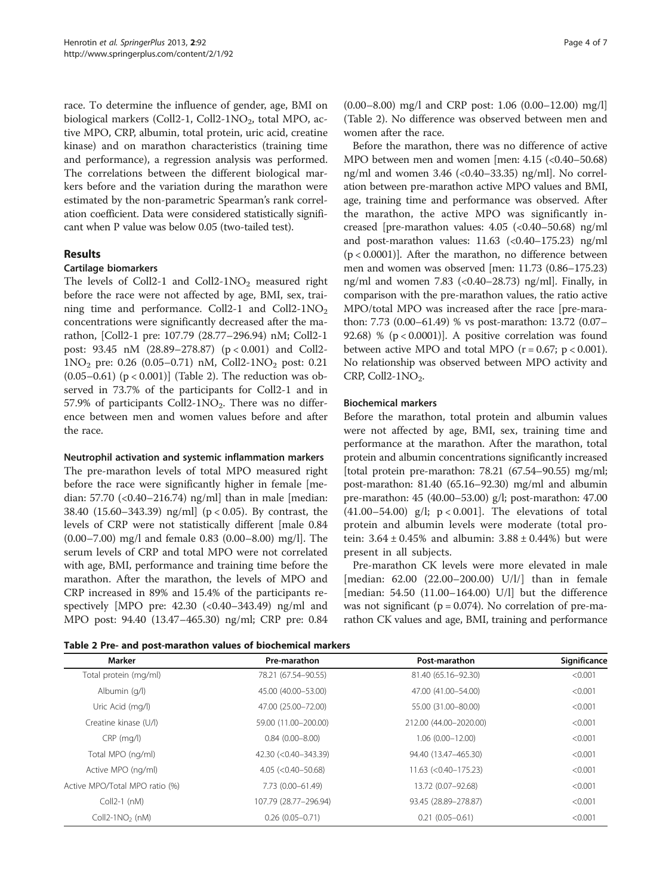<span id="page-3-0"></span>race. To determine the influence of gender, age, BMI on biological markers (Coll2-1, Coll2-1NO<sub>2</sub>, total MPO, active MPO, CRP, albumin, total protein, uric acid, creatine kinase) and on marathon characteristics (training time and performance), a regression analysis was performed. The correlations between the different biological markers before and the variation during the marathon were estimated by the non-parametric Spearman's rank correlation coefficient. Data were considered statistically significant when P value was below 0.05 (two-tailed test).

# Results

#### Cartilage biomarkers

The levels of Coll2-1 and Coll2-1NO<sub>2</sub> measured right before the race were not affected by age, BMI, sex, training time and performance. Coll2-1 and Coll2-1NO<sub>2</sub> concentrations were significantly decreased after the marathon, [Coll2-1 pre: 107.79 (28.77–296.94) nM; Coll2-1 post: 93.45 nM (28.89–278.87) (p < 0.001) and Coll2-  $1NO<sub>2</sub>$  pre: 0.26 (0.05–0.71) nM, Coll2-1NO<sub>2</sub> post: 0.21 (0.05–0.61)  $(p < 0.001)$ ] (Table 2). The reduction was observed in 73.7% of the participants for Coll2-1 and in 57.9% of participants Coll2-1NO<sub>2</sub>. There was no difference between men and women values before and after the race.

#### Neutrophil activation and systemic inflammation markers

The pre-marathon levels of total MPO measured right before the race were significantly higher in female [median:  $57.70$  (<0.40–216.74) ng/ml than in male [median: 38.40 (15.60–343.39) ng/ml] (p < 0.05). By contrast, the levels of CRP were not statistically different [male 0.84 (0.00–7.00) mg/l and female 0.83 (0.00–8.00) mg/l]. The serum levels of CRP and total MPO were not correlated with age, BMI, performance and training time before the marathon. After the marathon, the levels of MPO and CRP increased in 89% and 15.4% of the participants respectively [MPO pre: 42.30 (<0.40–343.49) ng/ml and MPO post: 94.40 (13.47–465.30) ng/ml; CRP pre: 0.84

(0.00–8.00) mg/l and CRP post: 1.06 (0.00–12.00) mg/l] (Table 2). No difference was observed between men and women after the race.

Before the marathon, there was no difference of active MPO between men and women [men: 4.15 (<0.40–50.68) ng/ml and women 3.46 (<0.40–33.35) ng/ml]. No correlation between pre-marathon active MPO values and BMI, age, training time and performance was observed. After the marathon, the active MPO was significantly increased [pre-marathon values: 4.05 (<0.40–50.68) ng/ml and post-marathon values:  $11.63$  (<0.40-175.23) ng/ml (p < 0.0001)]. After the marathon, no difference between men and women was observed [men: 11.73 (0.86–175.23) ng/ml and women  $7.83$  (<0.40–28.73) ng/ml]. Finally, in comparison with the pre-marathon values, the ratio active MPO/total MPO was increased after the race [pre-marathon: 7.73 (0.00–61.49) % vs post-marathon: 13.72 (0.07– 92.68) %  $(p < 0.0001)$ ]. A positive correlation was found between active MPO and total MPO  $(r = 0.67; p < 0.001)$ . No relationship was observed between MPO activity and CRP, Coll2- $1NO<sub>2</sub>$ .

#### Biochemical markers

Before the marathon, total protein and albumin values were not affected by age, BMI, sex, training time and performance at the marathon. After the marathon, total protein and albumin concentrations significantly increased [total protein pre-marathon: 78.21 (67.54–90.55) mg/ml; post-marathon: 81.40 (65.16–92.30) mg/ml and albumin pre-marathon: 45 (40.00–53.00) g/l; post-marathon: 47.00 (41.00–54.00) g/l;  $p < 0.001$ ]. The elevations of total protein and albumin levels were moderate (total protein:  $3.64 \pm 0.45$ % and albumin:  $3.88 \pm 0.44$ %) but were present in all subjects.

Pre-marathon CK levels were more elevated in male [median: 62.00 (22.00–200.00) U/l/] than in female [median: 54.50 (11.00–164.00) U/l] but the difference was not significant ( $p = 0.074$ ). No correlation of pre-marathon CK values and age, BMI, training and performance

| Table 2 Pre- and post-marathon values of biochemical markers |  |  |  |  |
|--------------------------------------------------------------|--|--|--|--|
|--------------------------------------------------------------|--|--|--|--|

| Pre-marathon                | Post-marathon          | Significance |  |
|-----------------------------|------------------------|--------------|--|
| 78.21 (67.54-90.55)         | 81.40 (65.16-92.30)    | < 0.001      |  |
| 45.00 (40.00-53.00)         | 47.00 (41.00-54.00)    | < 0.001      |  |
| 47.00 (25.00-72.00)         | 55.00 (31.00-80.00)    | < 0.001      |  |
| 59.00 (11.00-200.00)        | 212.00 (44.00-2020.00) | < 0.001      |  |
| $0.84(0.00 - 8.00)$         | $1.06(0.00 - 12.00)$   | < 0.001      |  |
| 42.30 (<0.40-343.39)        | 94.40 (13.47-465.30)   | < 0.001      |  |
| $4.05$ ( $< 0.40 - 50.68$ ) | $11.63$ (<0.40-175.23) | < 0.001      |  |
| 7.73 (0.00-61.49)           | 13.72 (0.07-92.68)     | < 0.001      |  |
| 107.79 (28.77-296.94)       | 93.45 (28.89-278.87)   | < 0.001      |  |
| $0.26(0.05 - 0.71)$         | $0.21(0.05 - 0.61)$    | < 0.001      |  |
|                             |                        |              |  |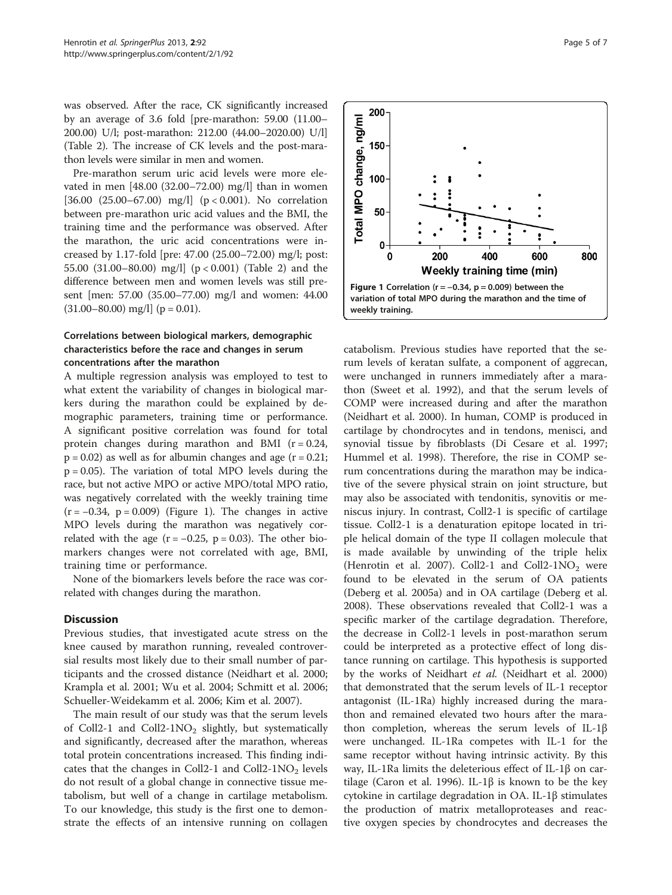was observed. After the race, CK significantly increased by an average of 3.6 fold [pre-marathon: 59.00 (11.00– 200.00) U/l; post-marathon: 212.00 (44.00–2020.00) U/l] (Table [2](#page-3-0)). The increase of CK levels and the post-marathon levels were similar in men and women.

Pre-marathon serum uric acid levels were more elevated in men [48.00 (32.00–72.00) mg/l] than in women [36.00 (25.00–67.00) mg/l] (p < 0.001). No correlation between pre-marathon uric acid values and the BMI, the training time and the performance was observed. After the marathon, the uric acid concentrations were increased by 1.17-fold [pre: 47.00 (25.00–72.00) mg/l; post: 55.00 (31.00–80.00) mg/l] (p < 0.001) (Table [2\)](#page-3-0) and the difference between men and women levels was still present [men: 57.00 (35.00–77.00) mg/l and women: 44.00  $(31.00-80.00)$  mg/l  $(p = 0.01)$ .

# Correlations between biological markers, demographic characteristics before the race and changes in serum concentrations after the marathon

A multiple regression analysis was employed to test to what extent the variability of changes in biological markers during the marathon could be explained by demographic parameters, training time or performance. A significant positive correlation was found for total protein changes during marathon and BMI  $(r = 0.24,$  $p = 0.02$ ) as well as for albumin changes and age ( $r = 0.21$ ;  $p = 0.05$ ). The variation of total MPO levels during the race, but not active MPO or active MPO/total MPO ratio, was negatively correlated with the weekly training time  $(r = -0.34, p = 0.009)$  (Figure 1). The changes in active MPO levels during the marathon was negatively correlated with the age  $(r = -0.25, p = 0.03)$ . The other biomarkers changes were not correlated with age, BMI, training time or performance.

None of the biomarkers levels before the race was correlated with changes during the marathon.

#### **Discussion**

Previous studies, that investigated acute stress on the knee caused by marathon running, revealed controversial results most likely due to their small number of participants and the crossed distance (Neidhart et al. [2000](#page-6-0); Krampla et al. [2001;](#page-6-0) Wu et al. [2004;](#page-6-0) Schmitt et al. [2006](#page-6-0); Schueller-Weidekamm et al. [2006](#page-6-0); Kim et al. [2007\)](#page-6-0).

The main result of our study was that the serum levels of Coll2-1 and Coll2-1NO<sub>2</sub> slightly, but systematically and significantly, decreased after the marathon, whereas total protein concentrations increased. This finding indicates that the changes in Coll2-1 and Coll2-1NO<sub>2</sub> levels do not result of a global change in connective tissue metabolism, but well of a change in cartilage metabolism. To our knowledge, this study is the first one to demonstrate the effects of an intensive running on collagen



catabolism. Previous studies have reported that the serum levels of keratan sulfate, a component of aggrecan, were unchanged in runners immediately after a marathon (Sweet et al. [1992\)](#page-6-0), and that the serum levels of COMP were increased during and after the marathon (Neidhart et al. [2000\)](#page-6-0). In human, COMP is produced in cartilage by chondrocytes and in tendons, menisci, and synovial tissue by fibroblasts (Di Cesare et al. [1997](#page-6-0); Hummel et al. [1998\)](#page-6-0). Therefore, the rise in COMP serum concentrations during the marathon may be indicative of the severe physical strain on joint structure, but may also be associated with tendonitis, synovitis or meniscus injury. In contrast, Coll2-1 is specific of cartilage tissue. Coll2-1 is a denaturation epitope located in triple helical domain of the type II collagen molecule that is made available by unwinding of the triple helix (Henrotin et al. [2007\)](#page-6-0). Coll2-1 and Coll2-1NO<sub>2</sub> were found to be elevated in the serum of OA patients (Deberg et al. [2005a\)](#page-5-0) and in OA cartilage (Deberg et al. [2008](#page-6-0)). These observations revealed that Coll2-1 was a specific marker of the cartilage degradation. Therefore, the decrease in Coll2-1 levels in post-marathon serum could be interpreted as a protective effect of long distance running on cartilage. This hypothesis is supported by the works of Neidhart et al. (Neidhart et al. [2000](#page-6-0)) that demonstrated that the serum levels of IL-1 receptor antagonist (IL-1Ra) highly increased during the marathon and remained elevated two hours after the marathon completion, whereas the serum levels of IL-1β were unchanged. IL-1Ra competes with IL-1 for the same receptor without having intrinsic activity. By this way, IL-1Ra limits the deleterious effect of IL-1β on car-tilage (Caron et al. [1996](#page-5-0)). IL-1β is known to be the key cytokine in cartilage degradation in OA. IL-1β stimulates the production of matrix metalloproteases and reactive oxygen species by chondrocytes and decreases the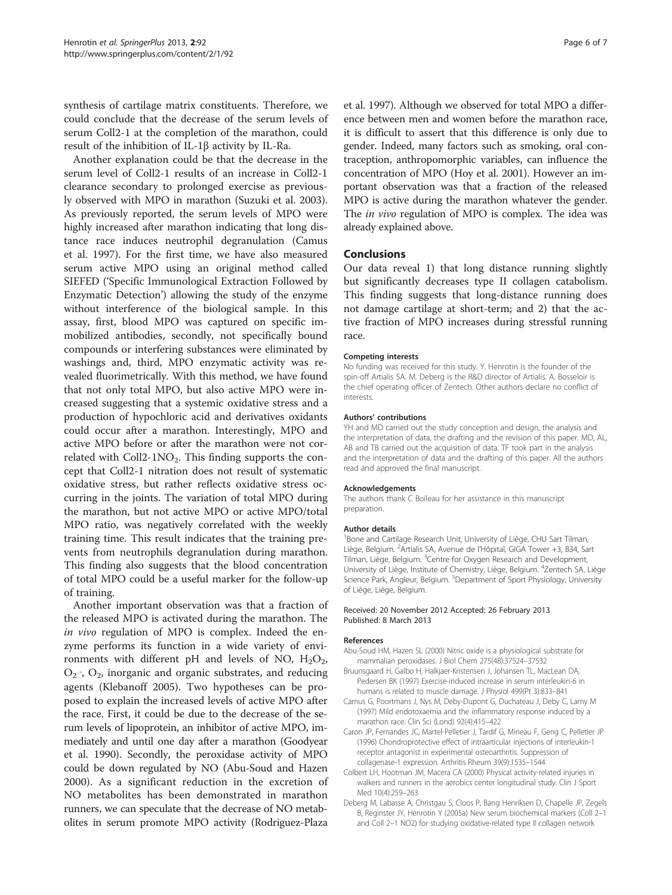<span id="page-5-0"></span>synthesis of cartilage matrix constituents. Therefore, we could conclude that the decrease of the serum levels of serum Coll2-1 at the completion of the marathon, could result of the inhibition of IL-1β activity by IL-Ra.

Another explanation could be that the decrease in the serum level of Coll2-1 results of an increase in Coll2-1 clearance secondary to prolonged exercise as previously observed with MPO in marathon (Suzuki et al. [2003](#page-6-0)). As previously reported, the serum levels of MPO were highly increased after marathon indicating that long distance race induces neutrophil degranulation (Camus et al. 1997). For the first time, we have also measured serum active MPO using an original method called SIEFED ('Specific Immunological Extraction Followed by Enzymatic Detection') allowing the study of the enzyme without interference of the biological sample. In this assay, first, blood MPO was captured on specific immobilized antibodies, secondly, not specifically bound compounds or interfering substances were eliminated by washings and, third, MPO enzymatic activity was revealed fluorimetrically. With this method, we have found that not only total MPO, but also active MPO were increased suggesting that a systemic oxidative stress and a production of hypochloric acid and derivatives oxidants could occur after a marathon. Interestingly, MPO and active MPO before or after the marathon were not correlated with Coll2-1NO<sub>2</sub>. This finding supports the concept that Coll2-1 nitration does not result of systematic oxidative stress, but rather reflects oxidative stress occurring in the joints. The variation of total MPO during the marathon, but not active MPO or active MPO/total MPO ratio, was negatively correlated with the weekly training time. This result indicates that the training prevents from neutrophils degranulation during marathon. This finding also suggests that the blood concentration of total MPO could be a useful marker for the follow-up of training.

Another important observation was that a fraction of the released MPO is activated during the marathon. The in vivo regulation of MPO is complex. Indeed the enzyme performs its function in a wide variety of environments with different pH and levels of NO,  $H_2O_2$ ,  $O_2$ ,  $O_2$ , inorganic and organic substrates, and reducing agents (Klebanoff [2005\)](#page-6-0). Two hypotheses can be proposed to explain the increased levels of active MPO after the race. First, it could be due to the decrease of the serum levels of lipoprotein, an inhibitor of active MPO, immediately and until one day after a marathon (Goodyear et al. [1990\)](#page-6-0). Secondly, the peroxidase activity of MPO could be down regulated by NO (Abu-Soud and Hazen 2000). As a significant reduction in the excretion of NO metabolites has been demonstrated in marathon runners, we can speculate that the decrease of NO metabolites in serum promote MPO activity (Rodriguez-Plaza et al. [1997\)](#page-6-0). Although we observed for total MPO a difference between men and women before the marathon race, it is difficult to assert that this difference is only due to gender. Indeed, many factors such as smoking, oral contraception, anthropomorphic variables, can influence the concentration of MPO (Hoy et al. [2001](#page-6-0)). However an important observation was that a fraction of the released MPO is active during the marathon whatever the gender. The in vivo regulation of MPO is complex. The idea was already explained above.

#### Conclusions

Our data reveal 1) that long distance running slightly but significantly decreases type II collagen catabolism. This finding suggests that long-distance running does not damage cartilage at short-term; and 2) that the active fraction of MPO increases during stressful running race.

#### Competing interests

No funding was received for this study. Y. Henrotin is the founder of the spin-off Artialis SA. M. Deberg is the R&D director of Artialis. A. Bosseloir is the chief operating officer of Zentech. Other authors declare no conflict of interests.

#### Authors' contributions

YH and MD carried out the study conception and design, the analysis and the interpretation of data, the drafting and the revision of this paper. MD, AL, AB and TB carried out the acquisition of data. TF took part in the analysis and the interpretation of data and the drafting of this paper. All the authors read and approved the final manuscript.

#### Acknowledgements

The authors thank C Boileau for her assistance in this manuscript preparation.

#### Author details

<sup>1</sup> Bone and Cartilage Research Unit, University of Liège, CHU Sart Tilman, Liège, Belgium. <sup>2</sup> Artialis SA, Avenue de l'Hôpital, GIGA Tower +3, B34, Sart Tilman, Liège, Belgium. <sup>3</sup>Centre for Oxygen Research and Development, University of Liège, Institute of Chemistry, Liège, Belgium. <sup>4</sup>Zentech SA, Liège Science Park, Angleur, Belgium. <sup>5</sup>Department of Sport Physiology, University of Liège, Liège, Belgium.

#### Received: 20 November 2012 Accepted: 26 February 2013 Published: 8 March 2013

#### References

- Abu-Soud HM, Hazen SL (2000) Nitric oxide is a physiological substrate for mammalian peroxidases. J Biol Chem 275(48):37524–37532
- Bruunsgaard H, Galbo H, Halkjaer-Kristensen J, Johansen TL, MacLean DA, Pedersen BK (1997) Exercise-induced increase in serum interleukin-6 in humans is related to muscle damage. J Physiol 499(Pt 3):833–841
- Camus G, Poortmans J, Nys M, Deby-Dupont G, Duchateau J, Deby C, Lamy M (1997) Mild endotoxaemia and the inflammatory response induced by a marathon race. Clin Sci (Lond) 92(4):415–422
- Caron JP, Fernandes JC, Martel-Pelletier J, Tardif G, Mineau F, Geng C, Pelletier JP (1996) Chondroprotective effect of intraarticular injections of interleukin-1 receptor antagonist in experimental osteoarthritis. Suppression of collagenase-1 expression. Arthritis Rheum 39(9):1535–1544
- Colbert LH, Hootman JM, Macera CA (2000) Physical activity-related injuries in walkers and runners in the aerobics center longitudinal study. Clin J Sport Med 10(4):259–263
- Deberg M, Labasse A, Christgau S, Cloos P, Bang Henriksen D, Chapelle JP, Zegels B, Reginster JY, Henrotin Y (2005a) New serum biochemical markers (Coll 2–1 and Coll 2–1 NO2) for studying oxidative-related type II collagen network